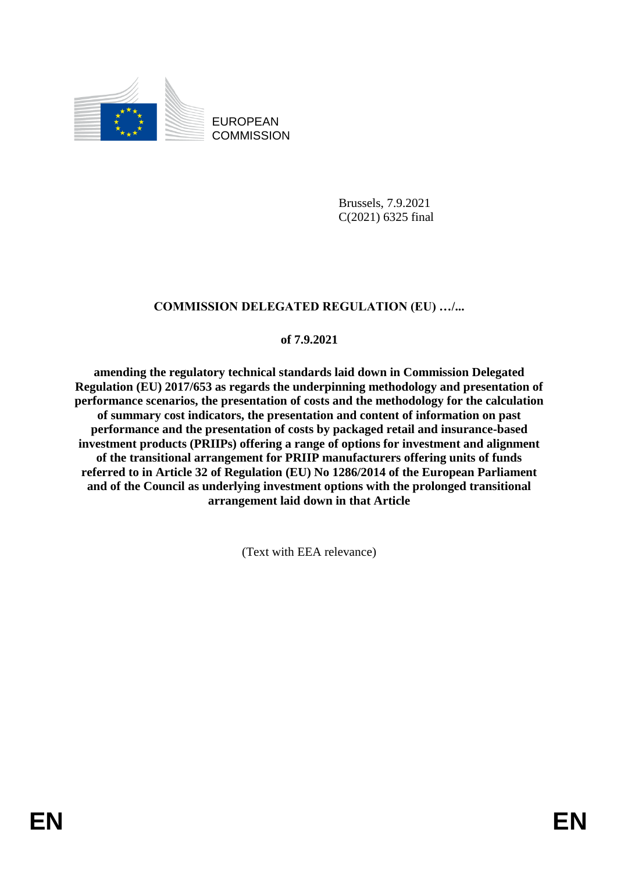

EUROPEAN **COMMISSION** 

> Brussels, 7.9.2021 C(2021) 6325 final

# **COMMISSION DELEGATED REGULATION (EU) …/...**

## **of 7.9.2021**

**amending the regulatory technical standards laid down in Commission Delegated Regulation (EU) 2017/653 as regards the underpinning methodology and presentation of performance scenarios, the presentation of costs and the methodology for the calculation of summary cost indicators, the presentation and content of information on past performance and the presentation of costs by packaged retail and insurance-based investment products (PRIIPs) offering a range of options for investment and alignment of the transitional arrangement for PRIIP manufacturers offering units of funds referred to in Article 32 of Regulation (EU) No 1286/2014 of the European Parliament and of the Council as underlying investment options with the prolonged transitional arrangement laid down in that Article**

(Text with EEA relevance)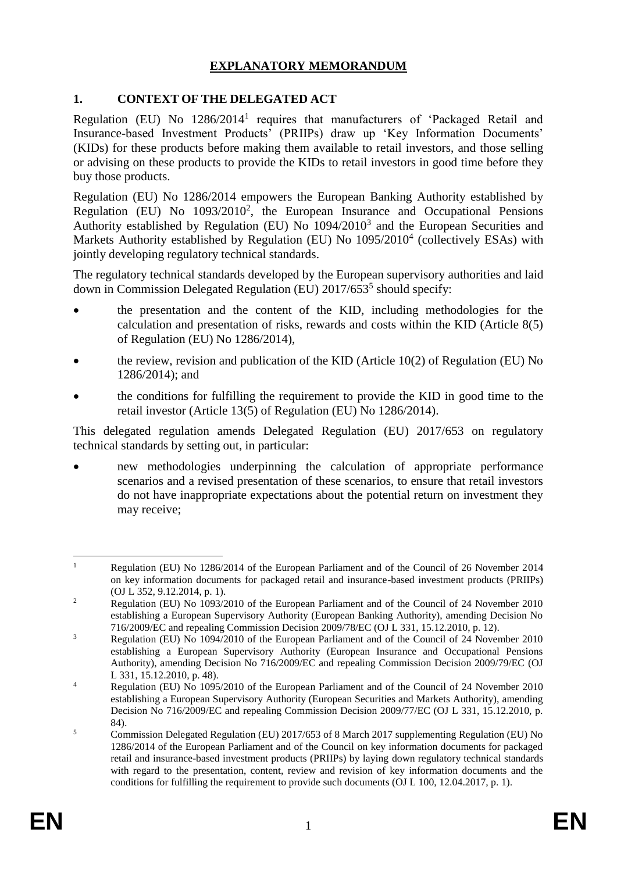## **EXPLANATORY MEMORANDUM**

## **1. CONTEXT OF THE DELEGATED ACT**

Regulation (EU) No 1286/2014<sup>1</sup> requires that manufacturers of 'Packaged Retail and Insurance-based Investment Products' (PRIIPs) draw up 'Key Information Documents' (KIDs) for these products before making them available to retail investors, and those selling or advising on these products to provide the KIDs to retail investors in good time before they buy those products.

Regulation (EU) No 1286/2014 empowers the European Banking Authority established by Regulation (EU) No  $1093/2010^2$ , the European Insurance and Occupational Pensions Authority established by Regulation (EU) No  $1094/2010^3$  and the European Securities and Markets Authority established by Regulation (EU) No 1095/2010<sup>4</sup> (collectively ESAs) with jointly developing regulatory technical standards.

The regulatory technical standards developed by the European supervisory authorities and laid down in Commission Delegated Regulation (EU) 2017/653<sup>5</sup> should specify:

- the presentation and the content of the KID, including methodologies for the calculation and presentation of risks, rewards and costs within the KID (Article 8(5) of Regulation (EU) No 1286/2014),
- the review, revision and publication of the KID (Article 10(2) of Regulation (EU) No 1286/2014); and
- the conditions for fulfilling the requirement to provide the KID in good time to the retail investor (Article 13(5) of Regulation (EU) No 1286/2014).

This delegated regulation amends Delegated Regulation (EU) 2017/653 on regulatory technical standards by setting out, in particular:

 new methodologies underpinning the calculation of appropriate performance scenarios and a revised presentation of these scenarios, to ensure that retail investors do not have inappropriate expectations about the potential return on investment they may receive;

 $\mathbf{1}$ <sup>1</sup> Regulation (EU) No 1286/2014 of the European Parliament and of the Council of 26 November 2014 on key information documents for packaged retail and insurance-based investment products (PRIIPs) (OJ L 352, 9.12.2014, p. 1).

<sup>&</sup>lt;sup>2</sup> Regulation (EU) No 1093/2010 of the European Parliament and of the Council of 24 November 2010 establishing a European Supervisory Authority (European Banking Authority), amending Decision No 716/2009/EC and repealing Commission Decision 2009/78/EC (OJ L 331, 15.12.2010, p. 12).

<sup>&</sup>lt;sup>3</sup> Regulation (EU) No 1094/2010 of the European Parliament and of the Council of 24 November 2010 establishing a European Supervisory Authority (European Insurance and Occupational Pensions Authority), amending Decision No 716/2009/EC and repealing Commission Decision 2009/79/EC (OJ L 331, 15.12.2010, p. 48).

<sup>&</sup>lt;sup>4</sup> Regulation (EU) No 1095/2010 of the European Parliament and of the Council of 24 November 2010 establishing a European Supervisory Authority (European Securities and Markets Authority), amending Decision No 716/2009/EC and repealing Commission Decision 2009/77/EC (OJ L 331, 15.12.2010, p. 84).

<sup>&</sup>lt;sup>5</sup> Commission Delegated Regulation (EU) 2017/653 of 8 March 2017 supplementing Regulation (EU) No 1286/2014 of the European Parliament and of the Council on key information documents for packaged retail and insurance-based investment products (PRIIPs) by laying down regulatory technical standards with regard to the presentation, content, review and revision of key information documents and the conditions for fulfilling the requirement to provide such documents (OJ L 100, 12.04.2017, p. 1).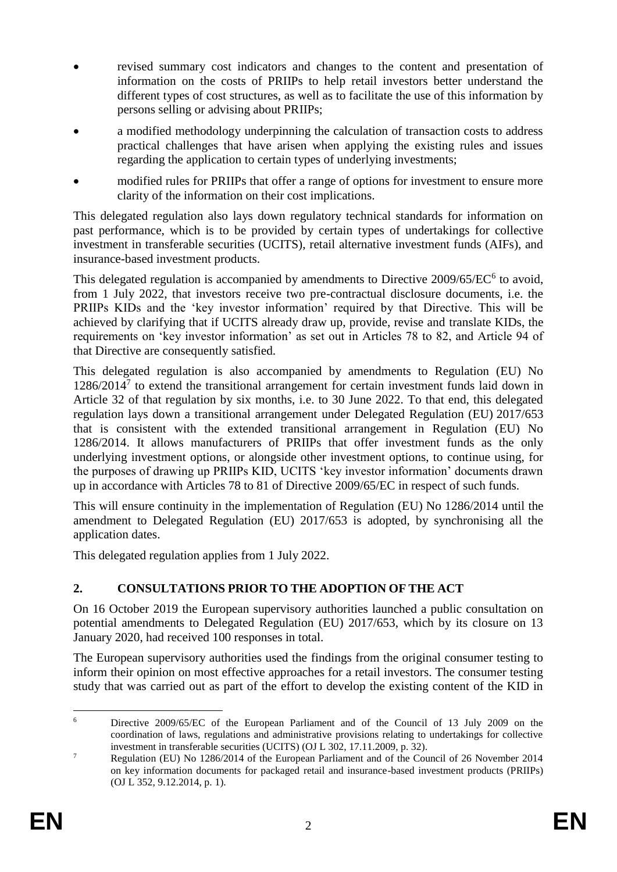- revised summary cost indicators and changes to the content and presentation of information on the costs of PRIIPs to help retail investors better understand the different types of cost structures, as well as to facilitate the use of this information by persons selling or advising about PRIIPs;
- a modified methodology underpinning the calculation of transaction costs to address practical challenges that have arisen when applying the existing rules and issues regarding the application to certain types of underlying investments;
- modified rules for PRIIPs that offer a range of options for investment to ensure more clarity of the information on their cost implications.

This delegated regulation also lays down regulatory technical standards for information on past performance, which is to be provided by certain types of undertakings for collective investment in transferable securities (UCITS), retail alternative investment funds (AIFs), and insurance-based investment products.

This delegated regulation is accompanied by amendments to Directive 2009/65/EC<sup>6</sup> to avoid, from 1 July 2022, that investors receive two pre-contractual disclosure documents, i.e. the PRIIPs KIDs and the 'key investor information' required by that Directive. This will be achieved by clarifying that if UCITS already draw up, provide, revise and translate KIDs, the requirements on 'key investor information' as set out in Articles 78 to 82, and Article 94 of that Directive are consequently satisfied.

This delegated regulation is also accompanied by amendments to Regulation (EU) No 1286/2014<sup>7</sup> to extend the transitional arrangement for certain investment funds laid down in Article 32 of that regulation by six months, i.e. to 30 June 2022. To that end, this delegated regulation lays down a transitional arrangement under Delegated Regulation (EU) 2017/653 that is consistent with the extended transitional arrangement in Regulation (EU) No 1286/2014. It allows manufacturers of PRIIPs that offer investment funds as the only underlying investment options, or alongside other investment options, to continue using, for the purposes of drawing up PRIIPs KID, UCITS 'key investor information' documents drawn up in accordance with Articles 78 to 81 of Directive 2009/65/EC in respect of such funds.

This will ensure continuity in the implementation of Regulation (EU) No 1286/2014 until the amendment to Delegated Regulation (EU) 2017/653 is adopted, by synchronising all the application dates.

This delegated regulation applies from 1 July 2022.

# **2. CONSULTATIONS PRIOR TO THE ADOPTION OF THE ACT**

On 16 October 2019 the European supervisory authorities launched a public consultation on potential amendments to Delegated Regulation (EU) 2017/653, which by its closure on 13 January 2020, had received 100 responses in total.

The European supervisory authorities used the findings from the original consumer testing to inform their opinion on most effective approaches for a retail investors. The consumer testing study that was carried out as part of the effort to develop the existing content of the KID in

<sup>1</sup> <sup>6</sup> Directive 2009/65/EC of the European Parliament and of the Council of 13 July 2009 on the coordination of laws, regulations and administrative provisions relating to undertakings for collective investment in transferable securities (UCITS) (OJ L 302, 17.11.2009, p. 32).

<sup>&</sup>lt;sup>7</sup> Regulation (EU) No 1286/2014 of the European Parliament and of the Council of 26 November 2014 on key information documents for packaged retail and insurance-based investment products (PRIIPs) (OJ L 352, 9.12.2014, p. 1).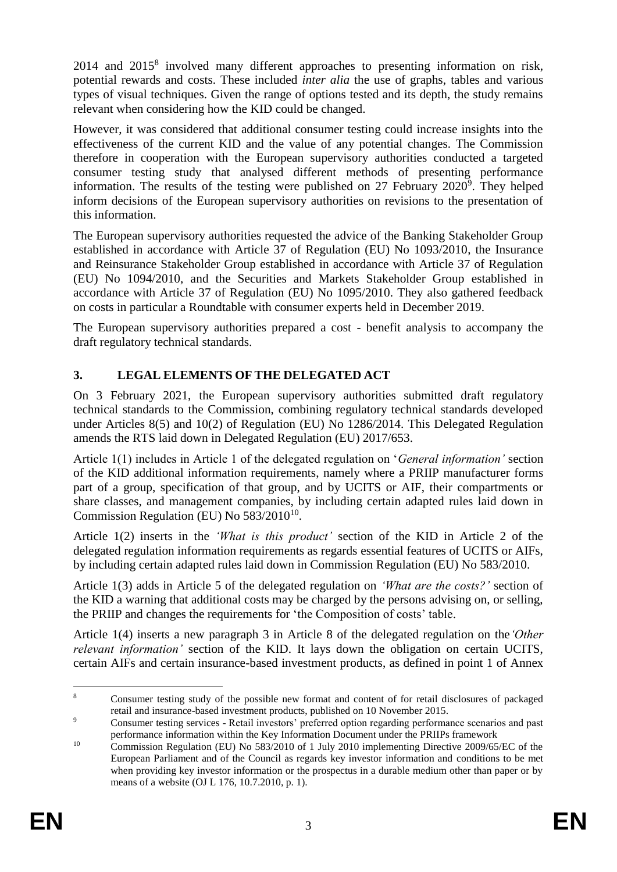2014 and 2015<sup>8</sup> involved many different approaches to presenting information on risk, potential rewards and costs. These included *inter alia* the use of graphs, tables and various types of visual techniques. Given the range of options tested and its depth, the study remains relevant when considering how the KID could be changed.

However, it was considered that additional consumer testing could increase insights into the effectiveness of the current KID and the value of any potential changes. The Commission therefore in cooperation with the European supervisory authorities conducted a targeted consumer testing study that analysed different methods of presenting performance information. The results of the testing were published on 27 February 2020<sup>9</sup>. They helped inform decisions of the European supervisory authorities on revisions to the presentation of this information.

The European supervisory authorities requested the advice of the Banking Stakeholder Group established in accordance with Article 37 of Regulation (EU) No 1093/2010, the Insurance and Reinsurance Stakeholder Group established in accordance with Article 37 of Regulation (EU) No 1094/2010, and the Securities and Markets Stakeholder Group established in accordance with Article 37 of Regulation (EU) No 1095/2010. They also gathered feedback on costs in particular a Roundtable with consumer experts held in December 2019.

The European supervisory authorities prepared a cost - benefit analysis to accompany the draft regulatory technical standards.

# **3. LEGAL ELEMENTS OF THE DELEGATED ACT**

On 3 February 2021, the European supervisory authorities submitted draft regulatory technical standards to the Commission, combining regulatory technical standards developed under Articles 8(5) and 10(2) of Regulation (EU) No 1286/2014. This Delegated Regulation amends the RTS laid down in Delegated Regulation (EU) 2017/653.

Article 1(1) includes in Article 1 of the delegated regulation on '*General information'* section of the KID additional information requirements, namely where a PRIIP manufacturer forms part of a group, specification of that group, and by UCITS or AIF, their compartments or share classes, and management companies, by including certain adapted rules laid down in Commission Regulation (EU) No  $583/2010^{10}$ .

Article 1(2) inserts in the *'What is this product'* section of the KID in Article 2 of the delegated regulation information requirements as regards essential features of UCITS or AIFs, by including certain adapted rules laid down in Commission Regulation (EU) No 583/2010.

Article 1(3) adds in Article 5 of the delegated regulation on *'What are the costs?'* section of the KID a warning that additional costs may be charged by the persons advising on, or selling, the PRIIP and changes the requirements for 'the Composition of costs' table.

Article 1(4) inserts a new paragraph 3 in Article 8 of the delegated regulation on the*'Other relevant information'* section of the KID. It lays down the obligation on certain UCITS, certain AIFs and certain insurance-based investment products, as defined in point 1 of Annex

 $\overline{8}$ <sup>8</sup> Consumer testing study of the possible new format and content of for retail disclosures of packaged retail and insurance-based investment products, published on 10 November 2015.

<sup>&</sup>lt;sup>9</sup> Consumer testing services - Retail investors' preferred option regarding performance scenarios and past performance information within the Key Information Document under the PRIIPs framework

<sup>&</sup>lt;sup>10</sup> Commission Regulation (EU) No 583/2010 of 1 July 2010 implementing Directive 2009/65/EC of the European Parliament and of the Council as regards key investor information and conditions to be met when providing key investor information or the prospectus in a durable medium other than paper or by means of a website (OJ L 176, 10.7.2010, p. 1).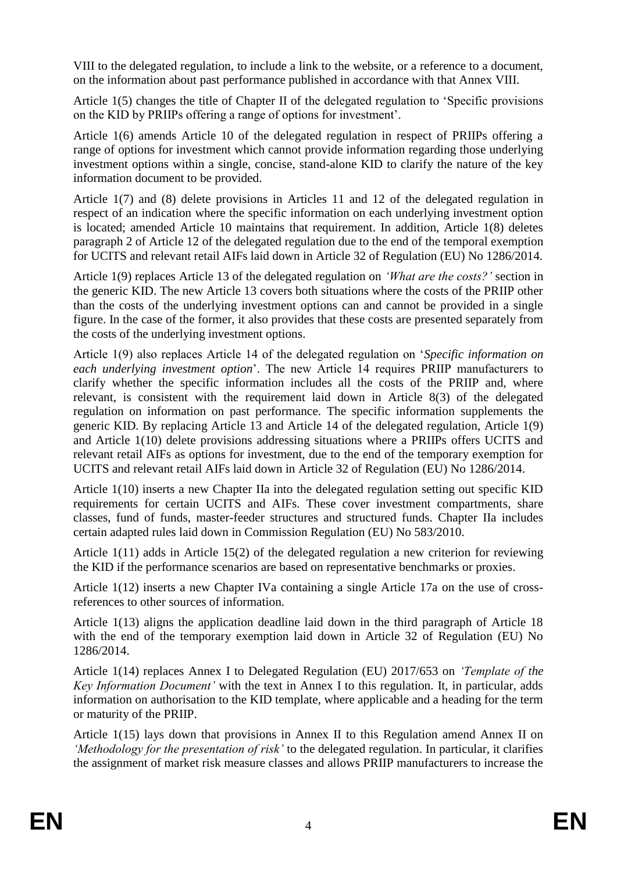VIII to the delegated regulation, to include a link to the website, or a reference to a document, on the information about past performance published in accordance with that Annex VIII.

Article 1(5) changes the title of Chapter II of the delegated regulation to 'Specific provisions on the KID by PRIIPs offering a range of options for investment'.

Article 1(6) amends Article 10 of the delegated regulation in respect of PRIIPs offering a range of options for investment which cannot provide information regarding those underlying investment options within a single, concise, stand-alone KID to clarify the nature of the key information document to be provided.

Article 1(7) and (8) delete provisions in Articles 11 and 12 of the delegated regulation in respect of an indication where the specific information on each underlying investment option is located; amended Article 10 maintains that requirement. In addition, Article 1(8) deletes paragraph 2 of Article 12 of the delegated regulation due to the end of the temporal exemption for UCITS and relevant retail AIFs laid down in Article 32 of Regulation (EU) No 1286/2014.

Article 1(9) replaces Article 13 of the delegated regulation on *'What are the costs?'* section in the generic KID. The new Article 13 covers both situations where the costs of the PRIIP other than the costs of the underlying investment options can and cannot be provided in a single figure. In the case of the former, it also provides that these costs are presented separately from the costs of the underlying investment options.

Article 1(9) also replaces Article 14 of the delegated regulation on '*Specific information on each underlying investment option*'. The new Article 14 requires PRIIP manufacturers to clarify whether the specific information includes all the costs of the PRIIP and, where relevant, is consistent with the requirement laid down in Article 8(3) of the delegated regulation on information on past performance. The specific information supplements the generic KID. By replacing Article 13 and Article 14 of the delegated regulation, Article 1(9) and Article 1(10) delete provisions addressing situations where a PRIIPs offers UCITS and relevant retail AIFs as options for investment, due to the end of the temporary exemption for UCITS and relevant retail AIFs laid down in Article 32 of Regulation (EU) No 1286/2014.

Article 1(10) inserts a new Chapter IIa into the delegated regulation setting out specific KID requirements for certain UCITS and AIFs. These cover investment compartments, share classes, fund of funds, master-feeder structures and structured funds. Chapter IIa includes certain adapted rules laid down in Commission Regulation (EU) No 583/2010.

Article 1(11) adds in Article 15(2) of the delegated regulation a new criterion for reviewing the KID if the performance scenarios are based on representative benchmarks or proxies.

Article 1(12) inserts a new Chapter IVa containing a single Article 17a on the use of crossreferences to other sources of information.

Article 1(13) aligns the application deadline laid down in the third paragraph of Article 18 with the end of the temporary exemption laid down in Article 32 of Regulation (EU) No 1286/2014.

Article 1(14) replaces Annex I to Delegated Regulation (EU) 2017/653 on *'Template of the Key Information Document'* with the text in Annex I to this regulation. It, in particular, adds information on authorisation to the KID template, where applicable and a heading for the term or maturity of the PRIIP.

Article 1(15) lays down that provisions in Annex II to this Regulation amend Annex II on *'Methodology for the presentation of risk'* to the delegated regulation. In particular, it clarifies the assignment of market risk measure classes and allows PRIIP manufacturers to increase the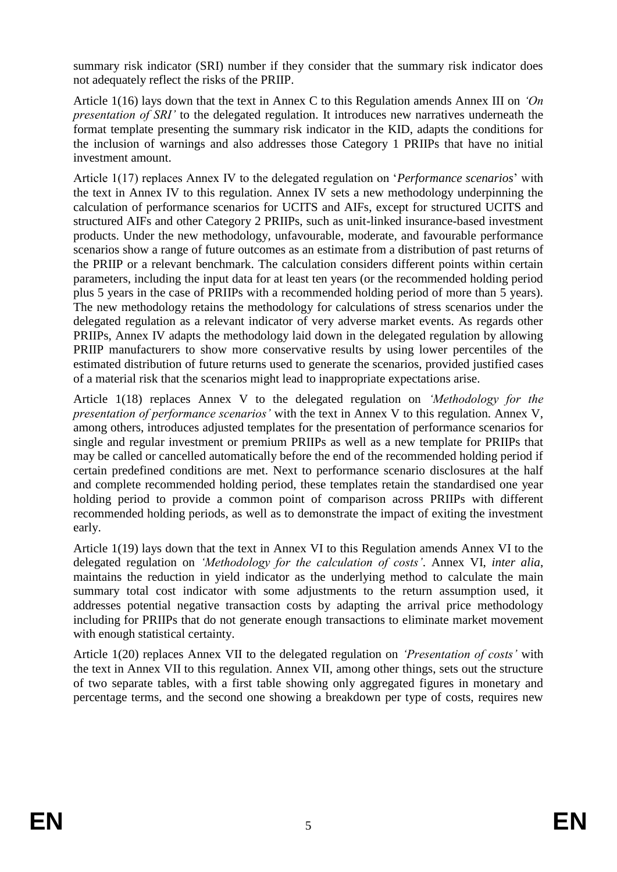summary risk indicator (SRI) number if they consider that the summary risk indicator does not adequately reflect the risks of the PRIIP.

Article 1(16) lays down that the text in Annex C to this Regulation amends Annex III on *'On presentation of SRI'* to the delegated regulation. It introduces new narratives underneath the format template presenting the summary risk indicator in the KID, adapts the conditions for the inclusion of warnings and also addresses those Category 1 PRIIPs that have no initial investment amount.

Article 1(17) replaces Annex IV to the delegated regulation on '*Performance scenarios*' with the text in Annex IV to this regulation. Annex IV sets a new methodology underpinning the calculation of performance scenarios for UCITS and AIFs, except for structured UCITS and structured AIFs and other Category 2 PRIIPs, such as unit-linked insurance-based investment products. Under the new methodology, unfavourable, moderate, and favourable performance scenarios show a range of future outcomes as an estimate from a distribution of past returns of the PRIIP or a relevant benchmark. The calculation considers different points within certain parameters, including the input data for at least ten years (or the recommended holding period plus 5 years in the case of PRIIPs with a recommended holding period of more than 5 years). The new methodology retains the methodology for calculations of stress scenarios under the delegated regulation as a relevant indicator of very adverse market events. As regards other PRIIPs, Annex IV adapts the methodology laid down in the delegated regulation by allowing PRIIP manufacturers to show more conservative results by using lower percentiles of the estimated distribution of future returns used to generate the scenarios, provided justified cases of a material risk that the scenarios might lead to inappropriate expectations arise.

Article 1(18) replaces Annex V to the delegated regulation on *'Methodology for the presentation of performance scenarios'* with the text in Annex V to this regulation. Annex V, among others, introduces adjusted templates for the presentation of performance scenarios for single and regular investment or premium PRIIPs as well as a new template for PRIIPs that may be called or cancelled automatically before the end of the recommended holding period if certain predefined conditions are met. Next to performance scenario disclosures at the half and complete recommended holding period, these templates retain the standardised one year holding period to provide a common point of comparison across PRIIPs with different recommended holding periods, as well as to demonstrate the impact of exiting the investment early.

Article 1(19) lays down that the text in Annex VI to this Regulation amends Annex VI to the delegated regulation on *'Methodology for the calculation of costs'*. Annex VI, *inter alia*, maintains the reduction in yield indicator as the underlying method to calculate the main summary total cost indicator with some adjustments to the return assumption used, it addresses potential negative transaction costs by adapting the arrival price methodology including for PRIIPs that do not generate enough transactions to eliminate market movement with enough statistical certainty.

Article 1(20) replaces Annex VII to the delegated regulation on *'Presentation of costs'* with the text in Annex VII to this regulation. Annex VII, among other things, sets out the structure of two separate tables, with a first table showing only aggregated figures in monetary and percentage terms, and the second one showing a breakdown per type of costs, requires new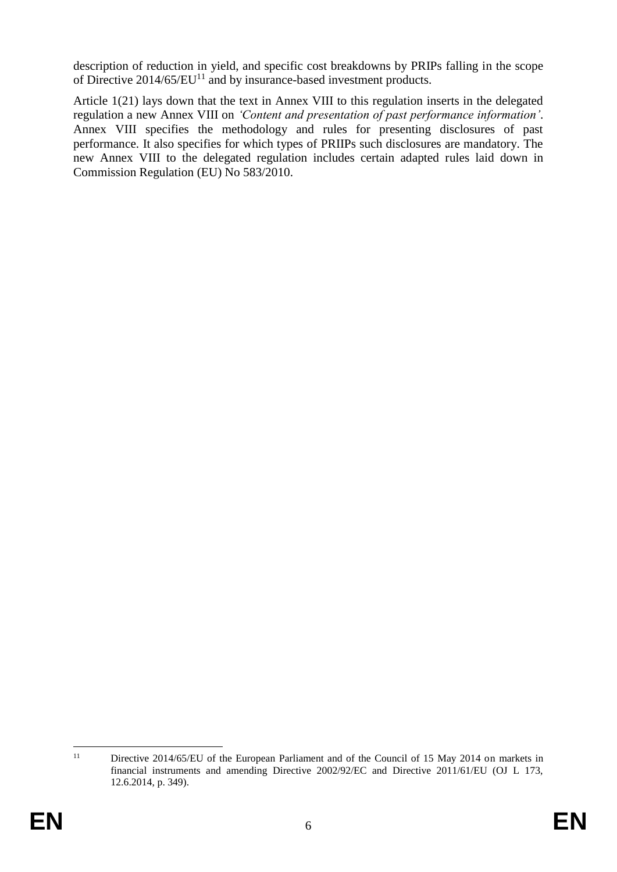description of reduction in yield, and specific cost breakdowns by PRIPs falling in the scope of Directive  $2014/65/EU<sup>11</sup>$  and by insurance-based investment products.

Article 1(21) lays down that the text in Annex VIII to this regulation inserts in the delegated regulation a new Annex VIII on *'Content and presentation of past performance information'*. Annex VIII specifies the methodology and rules for presenting disclosures of past performance. It also specifies for which types of PRIIPs such disclosures are mandatory. The new Annex VIII to the delegated regulation includes certain adapted rules laid down in Commission Regulation (EU) No 583/2010.

 $11$ Directive 2014/65/EU of the European Parliament and of the Council of 15 May 2014 on markets in financial instruments and amending Directive 2002/92/EC and Directive 2011/61/EU (OJ L 173, 12.6.2014, p. 349).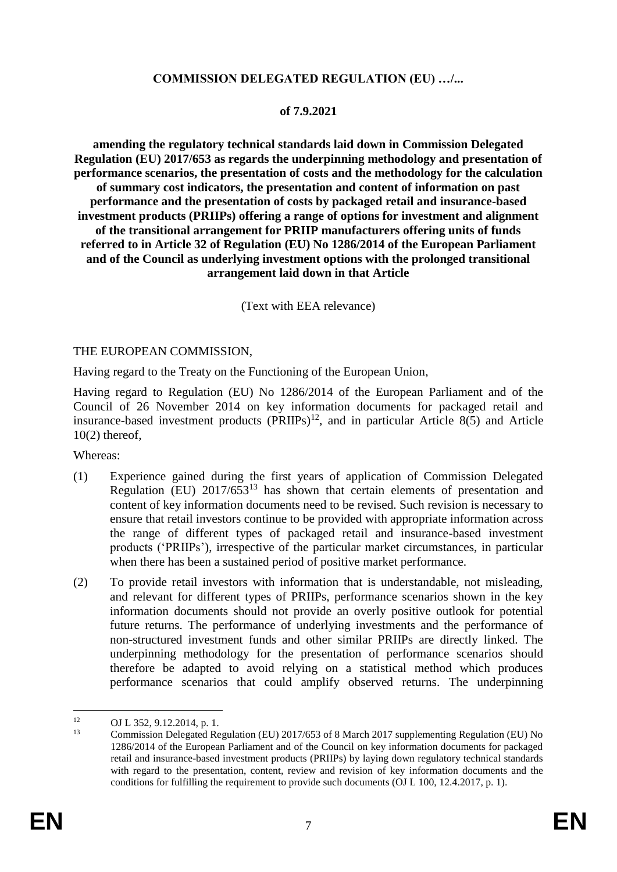## **COMMISSION DELEGATED REGULATION (EU) …/...**

#### **of 7.9.2021**

**amending the regulatory technical standards laid down in Commission Delegated Regulation (EU) 2017/653 as regards the underpinning methodology and presentation of performance scenarios, the presentation of costs and the methodology for the calculation of summary cost indicators, the presentation and content of information on past performance and the presentation of costs by packaged retail and insurance-based investment products (PRIIPs) offering a range of options for investment and alignment of the transitional arrangement for PRIIP manufacturers offering units of funds referred to in Article 32 of Regulation (EU) No 1286/2014 of the European Parliament and of the Council as underlying investment options with the prolonged transitional arrangement laid down in that Article**

(Text with EEA relevance)

#### THE EUROPEAN COMMISSION,

Having regard to the Treaty on the Functioning of the European Union,

Having regard to Regulation (EU) No 1286/2014 of the European Parliament and of the Council of 26 November 2014 on key information documents for packaged retail and insurance-based investment products  $(\overrightarrow{PRIPs})^{12}$ , and in particular Article 8(5) and Article  $10(2)$  thereof,

Whereas:

- (1) Experience gained during the first years of application of Commission Delegated Regulation (EU)  $2017/653^{13}$  has shown that certain elements of presentation and content of key information documents need to be revised. Such revision is necessary to ensure that retail investors continue to be provided with appropriate information across the range of different types of packaged retail and insurance-based investment products ('PRIIPs'), irrespective of the particular market circumstances, in particular when there has been a sustained period of positive market performance.
- (2) To provide retail investors with information that is understandable, not misleading, and relevant for different types of PRIIPs, performance scenarios shown in the key information documents should not provide an overly positive outlook for potential future returns. The performance of underlying investments and the performance of non-structured investment funds and other similar PRIIPs are directly linked. The underpinning methodology for the presentation of performance scenarios should therefore be adapted to avoid relying on a statistical method which produces performance scenarios that could amplify observed returns. The underpinning

<sup>1</sup> <sup>12</sup> OJ L 352, 9.12.2014, p. 1.<br>
Commission Delegated Ba

<sup>13</sup> Commission Delegated Regulation (EU) 2017/653 of 8 March 2017 supplementing Regulation (EU) No 1286/2014 of the European Parliament and of the Council on key information documents for packaged retail and insurance-based investment products (PRIIPs) by laying down regulatory technical standards with regard to the presentation, content, review and revision of key information documents and the conditions for fulfilling the requirement to provide such documents (OJ L 100, 12.4.2017, p. 1).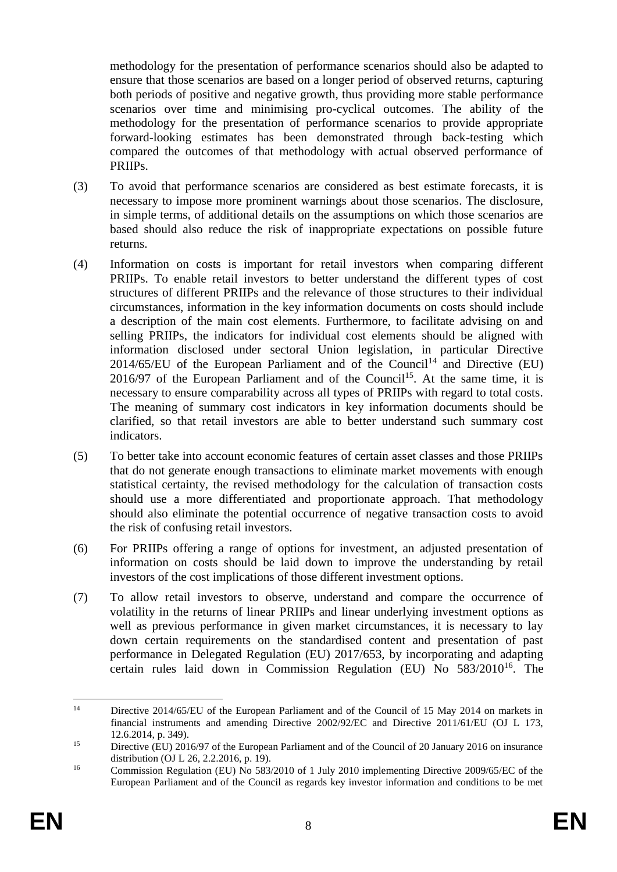methodology for the presentation of performance scenarios should also be adapted to ensure that those scenarios are based on a longer period of observed returns, capturing both periods of positive and negative growth, thus providing more stable performance scenarios over time and minimising pro-cyclical outcomes. The ability of the methodology for the presentation of performance scenarios to provide appropriate forward-looking estimates has been demonstrated through back-testing which compared the outcomes of that methodology with actual observed performance of PRIIPs.

- (3) To avoid that performance scenarios are considered as best estimate forecasts, it is necessary to impose more prominent warnings about those scenarios. The disclosure, in simple terms, of additional details on the assumptions on which those scenarios are based should also reduce the risk of inappropriate expectations on possible future returns.
- (4) Information on costs is important for retail investors when comparing different PRIIPs. To enable retail investors to better understand the different types of cost structures of different PRIIPs and the relevance of those structures to their individual circumstances, information in the key information documents on costs should include a description of the main cost elements. Furthermore, to facilitate advising on and selling PRIIPs, the indicators for individual cost elements should be aligned with information disclosed under sectoral Union legislation, in particular Directive 2014/65/EU of the European Parliament and of the Council<sup>14</sup> and Directive (EU)  $2016/97$  of the European Parliament and of the Council<sup>15</sup>. At the same time, it is necessary to ensure comparability across all types of PRIIPs with regard to total costs. The meaning of summary cost indicators in key information documents should be clarified, so that retail investors are able to better understand such summary cost indicators.
- (5) To better take into account economic features of certain asset classes and those PRIIPs that do not generate enough transactions to eliminate market movements with enough statistical certainty, the revised methodology for the calculation of transaction costs should use a more differentiated and proportionate approach. That methodology should also eliminate the potential occurrence of negative transaction costs to avoid the risk of confusing retail investors.
- (6) For PRIIPs offering a range of options for investment, an adjusted presentation of information on costs should be laid down to improve the understanding by retail investors of the cost implications of those different investment options.
- (7) To allow retail investors to observe, understand and compare the occurrence of volatility in the returns of linear PRIIPs and linear underlying investment options as well as previous performance in given market circumstances, it is necessary to lay down certain requirements on the standardised content and presentation of past performance in Delegated Regulation (EU) 2017/653, by incorporating and adapting certain rules laid down in Commission Regulation (EU) No 583/2010<sup>16</sup>. The

 $14$ Directive 2014/65/EU of the European Parliament and of the Council of 15 May 2014 on markets in financial instruments and amending Directive 2002/92/EC and Directive 2011/61/EU (OJ L 173, 12.6.2014, p. 349).

<sup>&</sup>lt;sup>15</sup> Directive (EU) 2016/97 of the European Parliament and of the Council of 20 January 2016 on insurance distribution (OJ L 26, 2.2.2016, p. 19).

<sup>&</sup>lt;sup>16</sup> Commission Regulation (EU) No 583/2010 of 1 July 2010 implementing Directive 2009/65/EC of the European Parliament and of the Council as regards key investor information and conditions to be met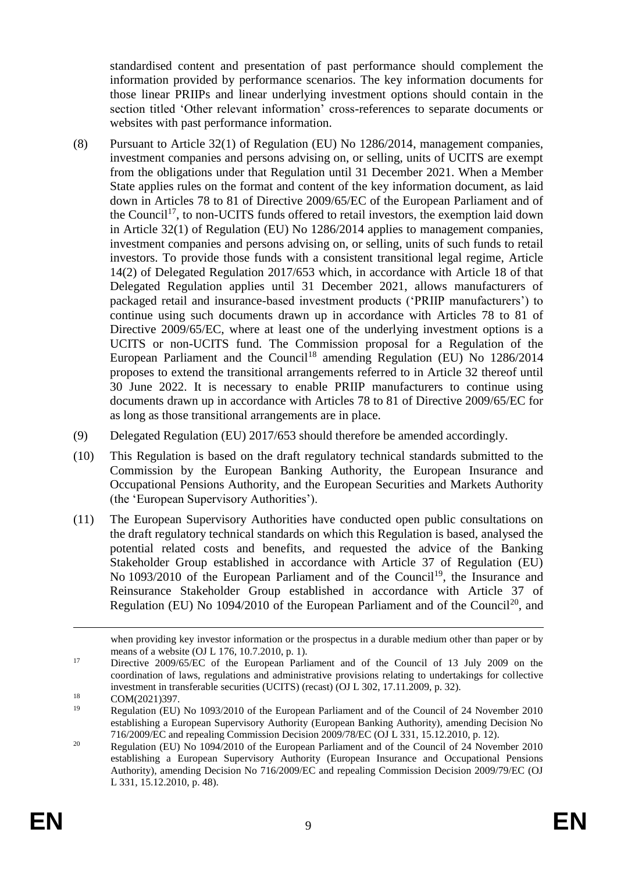standardised content and presentation of past performance should complement the information provided by performance scenarios. The key information documents for those linear PRIIPs and linear underlying investment options should contain in the section titled 'Other relevant information' cross-references to separate documents or websites with past performance information.

- (8) Pursuant to Article 32(1) of Regulation (EU) No 1286/2014, management companies, investment companies and persons advising on, or selling, units of UCITS are exempt from the obligations under that Regulation until 31 December 2021. When a Member State applies rules on the format and content of the key information document, as laid down in Articles 78 to 81 of Directive 2009/65/EC of the European Parliament and of the Council<sup>17</sup>, to non-UCITS funds offered to retail investors, the exemption laid down in Article 32(1) of Regulation (EU) No 1286/2014 applies to management companies, investment companies and persons advising on, or selling, units of such funds to retail investors. To provide those funds with a consistent transitional legal regime, Article 14(2) of Delegated Regulation 2017/653 which, in accordance with Article 18 of that Delegated Regulation applies until 31 December 2021, allows manufacturers of packaged retail and insurance-based investment products ('PRIIP manufacturers') to continue using such documents drawn up in accordance with Articles 78 to 81 of Directive 2009/65/EC, where at least one of the underlying investment options is a UCITS or non-UCITS fund. The Commission proposal for a Regulation of the European Parliament and the Council<sup>18</sup> amending Regulation (EU) No  $1286/2014$ proposes to extend the transitional arrangements referred to in Article 32 thereof until 30 June 2022. It is necessary to enable PRIIP manufacturers to continue using documents drawn up in accordance with Articles 78 to 81 of Directive 2009/65/EC for as long as those transitional arrangements are in place.
- (9) Delegated Regulation (EU) 2017/653 should therefore be amended accordingly.
- (10) This Regulation is based on the draft regulatory technical standards submitted to the Commission by the European Banking Authority, the European Insurance and Occupational Pensions Authority, and the European Securities and Markets Authority (the 'European Supervisory Authorities').
- (11) The European Supervisory Authorities have conducted open public consultations on the draft regulatory technical standards on which this Regulation is based, analysed the potential related costs and benefits, and requested the advice of the Banking Stakeholder Group established in accordance with Article 37 of Regulation (EU) No 1093/2010 of the European Parliament and of the Council<sup>19</sup>, the Insurance and Reinsurance Stakeholder Group established in accordance with Article 37 of Regulation (EU) No 1094/2010 of the European Parliament and of the Council<sup>20</sup>, and

1

when providing key investor information or the prospectus in a durable medium other than paper or by means of a website (OJ L 176, 10.7.2010, p. 1).

<sup>&</sup>lt;sup>17</sup> Directive 2009/65/EC of the European Parliament and of the Council of 13 July 2009 on the coordination of laws, regulations and administrative provisions relating to undertakings for collective investment in transferable securities (UCITS) (recast) (OJ L 302, 17.11.2009, p. 32).

<sup>&</sup>lt;sup>18</sup> COM(2021)397.

<sup>19</sup> Regulation (EU) No 1093/2010 of the European Parliament and of the Council of 24 November 2010 establishing a European Supervisory Authority (European Banking Authority), amending Decision No 716/2009/EC and repealing Commission Decision 2009/78/EC (OJ L 331, 15.12.2010, p. 12).

<sup>&</sup>lt;sup>20</sup> Regulation (EU) No 1094/2010 of the European Parliament and of the Council of  $24$  November 2010 establishing a European Supervisory Authority (European Insurance and Occupational Pensions Authority), amending Decision No 716/2009/EC and repealing Commission Decision 2009/79/EC (OJ L 331, 15.12.2010, p. 48).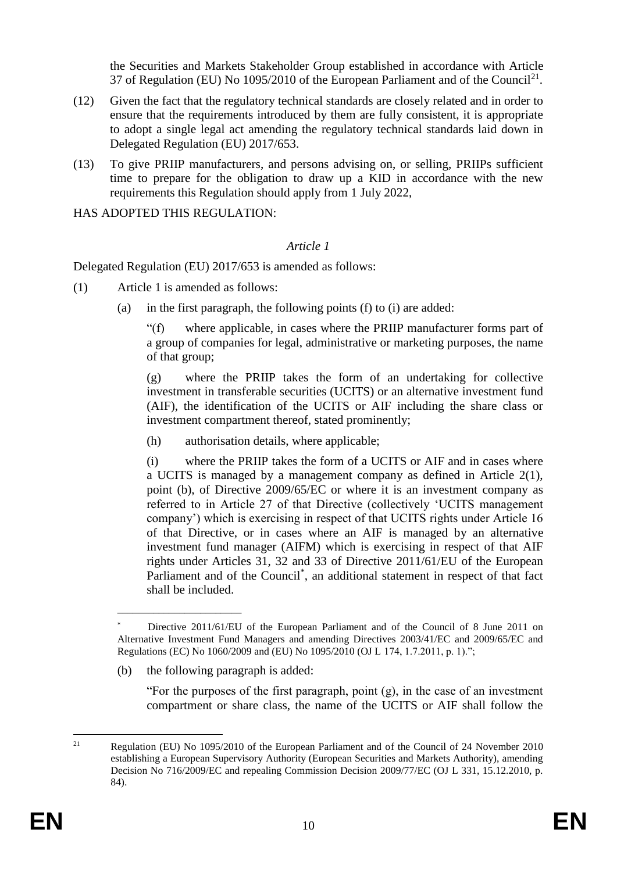the Securities and Markets Stakeholder Group established in accordance with Article 37 of Regulation (EU) No 1095/2010 of the European Parliament and of the Council<sup>21</sup>.

- (12) Given the fact that the regulatory technical standards are closely related and in order to ensure that the requirements introduced by them are fully consistent, it is appropriate to adopt a single legal act amending the regulatory technical standards laid down in Delegated Regulation (EU) 2017/653.
- (13) To give PRIIP manufacturers, and persons advising on, or selling, PRIIPs sufficient time to prepare for the obligation to draw up a KID in accordance with the new requirements this Regulation should apply from 1 July 2022,

HAS ADOPTED THIS REGULATION:

#### *Article 1*

Delegated Regulation (EU) 2017/653 is amended as follows:

- (1) Article 1 is amended as follows:
	- (a) in the first paragraph, the following points (f) to (i) are added:

"(f) where applicable, in cases where the PRIIP manufacturer forms part of a group of companies for legal, administrative or marketing purposes, the name of that group;

(g) where the PRIIP takes the form of an undertaking for collective investment in transferable securities (UCITS) or an alternative investment fund (AIF), the identification of the UCITS or AIF including the share class or investment compartment thereof, stated prominently;

(h) authorisation details, where applicable;

(i) where the PRIIP takes the form of a UCITS or AIF and in cases where a UCITS is managed by a management company as defined in Article 2(1), point (b), of Directive 2009/65/EC or where it is an investment company as referred to in Article 27 of that Directive (collectively 'UCITS management company') which is exercising in respect of that UCITS rights under Article 16 of that Directive, or in cases where an AIF is managed by an alternative investment fund manager (AIFM) which is exercising in respect of that AIF rights under Articles 31, 32 and 33 of Directive 2011/61/EU of the European Parliament and of the Council<sup>\*</sup>, an additional statement in respect of that fact shall be included.

(b) the following paragraph is added:

\_\_\_\_\_\_\_\_\_\_\_\_\_\_\_\_\_\_\_\_\_\_\_\_

"For the purposes of the first paragraph, point (g), in the case of an investment compartment or share class, the name of the UCITS or AIF shall follow the

Directive 2011/61/EU of the European Parliament and of the Council of 8 June 2011 on Alternative Investment Fund Managers and amending Directives 2003/41/EC and 2009/65/EC and Regulations (EC) No 1060/2009 and (EU) No 1095/2010 (OJ L 174, 1.7.2011, p. 1).";

 $21$ <sup>21</sup> Regulation (EU) No 1095/2010 of the European Parliament and of the Council of 24 November 2010 establishing a European Supervisory Authority (European Securities and Markets Authority), amending Decision No 716/2009/EC and repealing Commission Decision 2009/77/EC (OJ L 331, 15.12.2010, p. 84).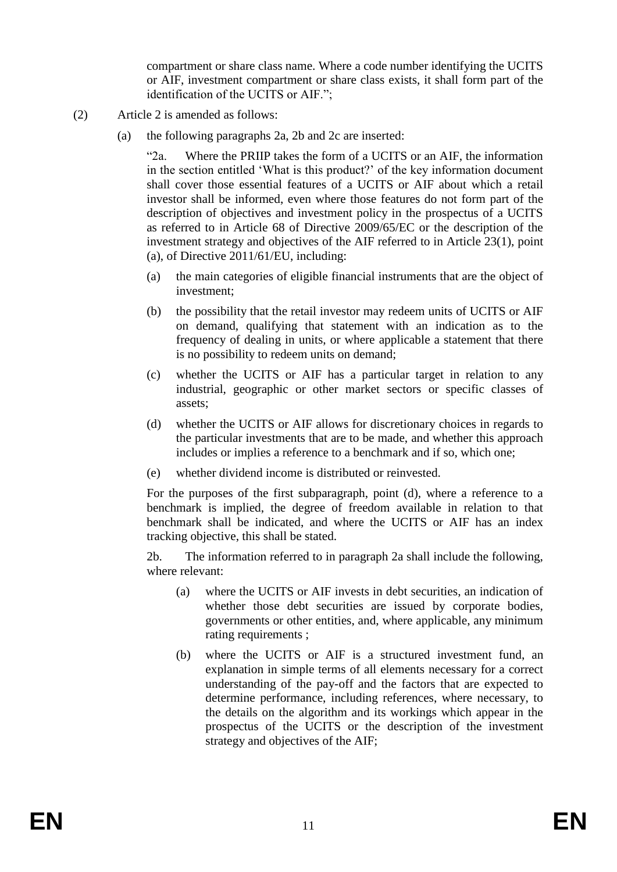compartment or share class name. Where a code number identifying the UCITS or AIF, investment compartment or share class exists, it shall form part of the identification of the UCITS or AIF.";

- (2) Article 2 is amended as follows:
	- (a) the following paragraphs 2a, 2b and 2c are inserted:

"2a. Where the PRIIP takes the form of a UCITS or an AIF, the information in the section entitled 'What is this product?' of the key information document shall cover those essential features of a UCITS or AIF about which a retail investor shall be informed, even where those features do not form part of the description of objectives and investment policy in the prospectus of a UCITS as referred to in Article 68 of Directive 2009/65/EC or the description of the investment strategy and objectives of the AIF referred to in Article 23(1), point (a), of Directive 2011/61/EU, including:

- (a) the main categories of eligible financial instruments that are the object of investment;
- (b) the possibility that the retail investor may redeem units of UCITS or AIF on demand, qualifying that statement with an indication as to the frequency of dealing in units, or where applicable a statement that there is no possibility to redeem units on demand;
- (c) whether the UCITS or AIF has a particular target in relation to any industrial, geographic or other market sectors or specific classes of assets;
- (d) whether the UCITS or AIF allows for discretionary choices in regards to the particular investments that are to be made, and whether this approach includes or implies a reference to a benchmark and if so, which one;
- (e) whether dividend income is distributed or reinvested.

For the purposes of the first subparagraph, point (d), where a reference to a benchmark is implied, the degree of freedom available in relation to that benchmark shall be indicated, and where the UCITS or AIF has an index tracking objective, this shall be stated.

2b. The information referred to in paragraph 2a shall include the following, where relevant:

- (a) where the UCITS or AIF invests in debt securities, an indication of whether those debt securities are issued by corporate bodies, governments or other entities, and, where applicable, any minimum rating requirements ;
- (b) where the UCITS or AIF is a structured investment fund, an explanation in simple terms of all elements necessary for a correct understanding of the pay-off and the factors that are expected to determine performance, including references, where necessary, to the details on the algorithm and its workings which appear in the prospectus of the UCITS or the description of the investment strategy and objectives of the AIF;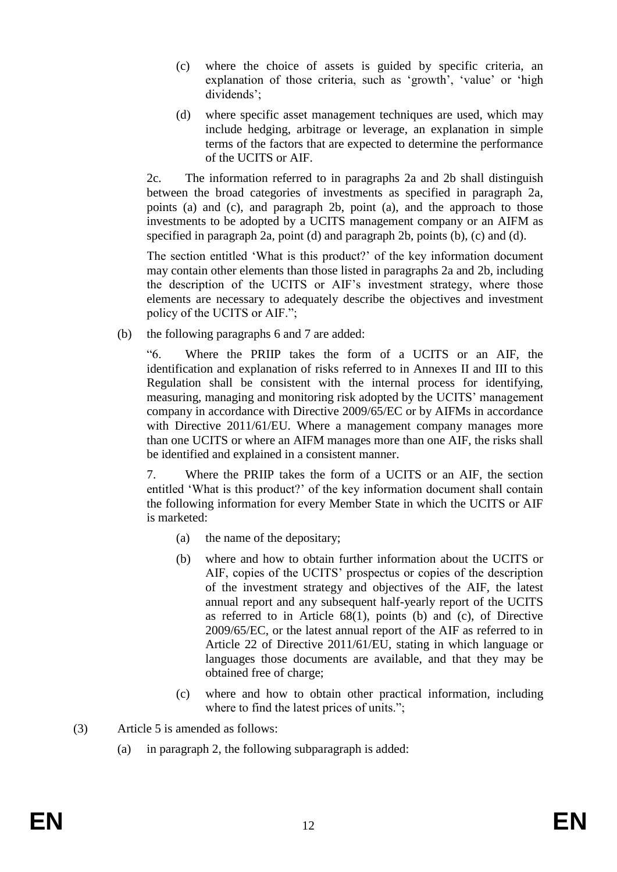- (c) where the choice of assets is guided by specific criteria, an explanation of those criteria, such as 'growth', 'value' or 'high dividends';
- (d) where specific asset management techniques are used, which may include hedging, arbitrage or leverage, an explanation in simple terms of the factors that are expected to determine the performance of the UCITS or AIF.

2c. The information referred to in paragraphs 2a and 2b shall distinguish between the broad categories of investments as specified in paragraph 2a, points (a) and (c), and paragraph 2b, point (a), and the approach to those investments to be adopted by a UCITS management company or an AIFM as specified in paragraph 2a, point (d) and paragraph 2b, points (b), (c) and (d).

The section entitled 'What is this product?' of the key information document may contain other elements than those listed in paragraphs 2a and 2b, including the description of the UCITS or AIF's investment strategy, where those elements are necessary to adequately describe the objectives and investment policy of the UCITS or AIF.";

(b) the following paragraphs 6 and 7 are added:

"6. Where the PRIIP takes the form of a UCITS or an AIF, the identification and explanation of risks referred to in Annexes II and III to this Regulation shall be consistent with the internal process for identifying, measuring, managing and monitoring risk adopted by the UCITS' management company in accordance with Directive 2009/65/EC or by AIFMs in accordance with Directive 2011/61/EU. Where a management company manages more than one UCITS or where an AIFM manages more than one AIF, the risks shall be identified and explained in a consistent manner.

7. Where the PRIIP takes the form of a UCITS or an AIF, the section entitled 'What is this product?' of the key information document shall contain the following information for every Member State in which the UCITS or AIF is marketed:

- (a) the name of the depositary;
- (b) where and how to obtain further information about the UCITS or AIF, copies of the UCITS' prospectus or copies of the description of the investment strategy and objectives of the AIF, the latest annual report and any subsequent half-yearly report of the UCITS as referred to in Article 68(1), points (b) and (c), of Directive 2009/65/EC, or the latest annual report of the AIF as referred to in Article 22 of Directive 2011/61/EU, stating in which language or languages those documents are available, and that they may be obtained free of charge;
- (c) where and how to obtain other practical information, including where to find the latest prices of units.";
- (3) Article 5 is amended as follows:
	- (a) in paragraph 2, the following subparagraph is added: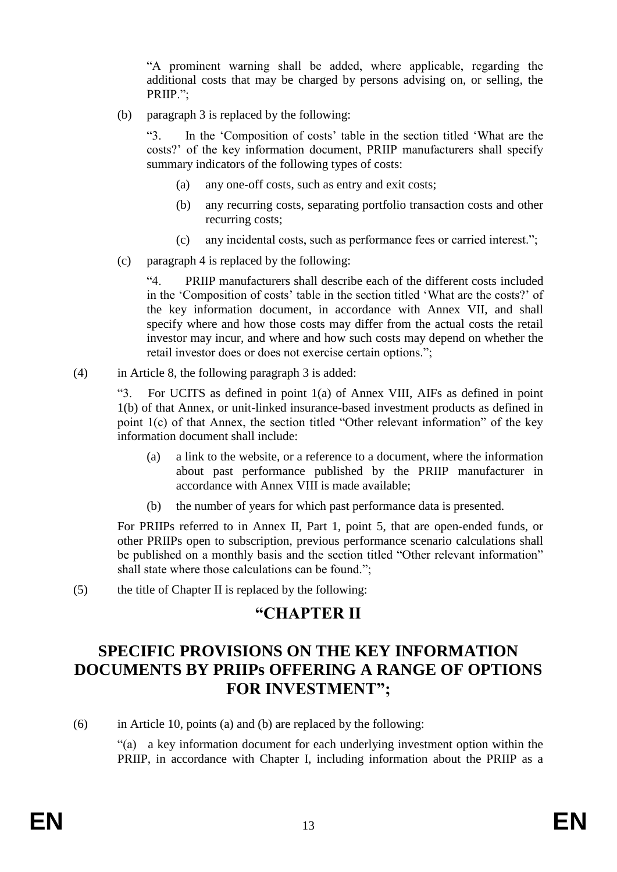"A prominent warning shall be added, where applicable, regarding the additional costs that may be charged by persons advising on, or selling, the PRIIP.";

(b) paragraph 3 is replaced by the following:

"3. In the 'Composition of costs' table in the section titled 'What are the costs?' of the key information document, PRIIP manufacturers shall specify summary indicators of the following types of costs:

- (a) any one-off costs, such as entry and exit costs;
- (b) any recurring costs, separating portfolio transaction costs and other recurring costs;
- (c) any incidental costs, such as performance fees or carried interest.";
- (c) paragraph 4 is replaced by the following:

"4. PRIIP manufacturers shall describe each of the different costs included in the 'Composition of costs' table in the section titled 'What are the costs?' of the key information document, in accordance with Annex VII, and shall specify where and how those costs may differ from the actual costs the retail investor may incur, and where and how such costs may depend on whether the retail investor does or does not exercise certain options.";

(4) in Article 8, the following paragraph 3 is added:

"3. For UCITS as defined in point 1(a) of Annex VIII, AIFs as defined in point 1(b) of that Annex, or unit-linked insurance-based investment products as defined in point 1(c) of that Annex, the section titled "Other relevant information" of the key information document shall include:

- (a) a link to the website, or a reference to a document, where the information about past performance published by the PRIIP manufacturer in accordance with Annex VIII is made available;
- (b) the number of years for which past performance data is presented.

For PRIIPs referred to in Annex II, Part 1, point 5, that are open-ended funds, or other PRIIPs open to subscription, previous performance scenario calculations shall be published on a monthly basis and the section titled "Other relevant information" shall state where those calculations can be found.";

(5) the title of Chapter II is replaced by the following:

# **"CHAPTER II**

# **SPECIFIC PROVISIONS ON THE KEY INFORMATION DOCUMENTS BY PRIIPs OFFERING A RANGE OF OPTIONS FOR INVESTMENT";**

(6) in Article 10, points (a) and (b) are replaced by the following:

"(a) a key information document for each underlying investment option within the PRIIP, in accordance with Chapter I, including information about the PRIIP as a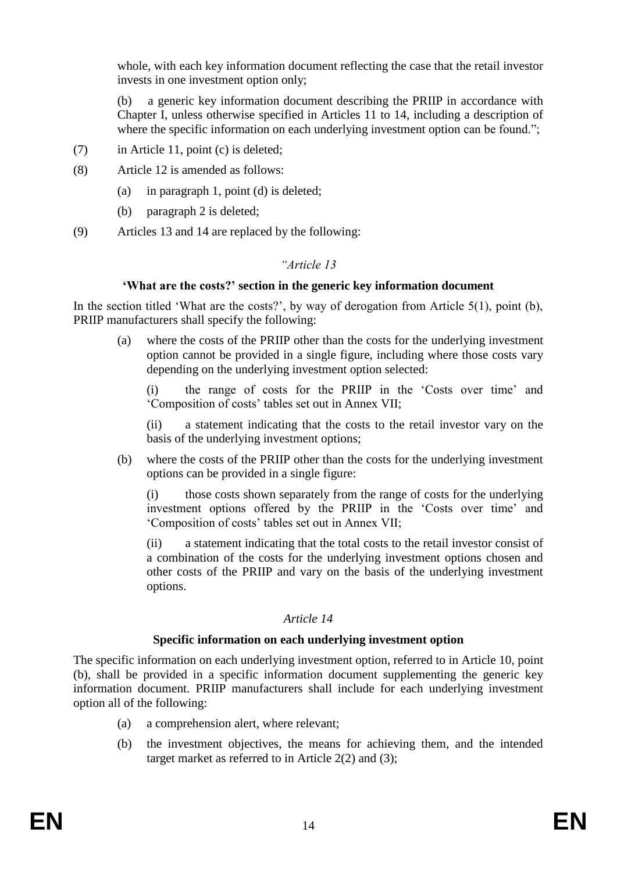whole, with each key information document reflecting the case that the retail investor invests in one investment option only;

(b) a generic key information document describing the PRIIP in accordance with Chapter I, unless otherwise specified in Articles 11 to 14, including a description of where the specific information on each underlying investment option can be found.";

- (7) in Article 11, point (c) is deleted;
- (8) Article 12 is amended as follows:
	- (a) in paragraph 1, point (d) is deleted;
	- (b) paragraph 2 is deleted;
- (9) Articles 13 and 14 are replaced by the following:

#### *"Article 13*

#### **'What are the costs?' section in the generic key information document**

In the section titled 'What are the costs?', by way of derogation from Article 5(1), point (b), PRIIP manufacturers shall specify the following:

(a) where the costs of the PRIIP other than the costs for the underlying investment option cannot be provided in a single figure, including where those costs vary depending on the underlying investment option selected:

(i) the range of costs for the PRIIP in the 'Costs over time' and 'Composition of costs' tables set out in Annex VII;

(ii) a statement indicating that the costs to the retail investor vary on the basis of the underlying investment options;

(b) where the costs of the PRIIP other than the costs for the underlying investment options can be provided in a single figure:

(i) those costs shown separately from the range of costs for the underlying investment options offered by the PRIIP in the 'Costs over time' and 'Composition of costs' tables set out in Annex VII;

(ii) a statement indicating that the total costs to the retail investor consist of a combination of the costs for the underlying investment options chosen and other costs of the PRIIP and vary on the basis of the underlying investment options.

#### *Article 14*

#### **Specific information on each underlying investment option**

The specific information on each underlying investment option, referred to in Article 10, point (b), shall be provided in a specific information document supplementing the generic key information document. PRIIP manufacturers shall include for each underlying investment option all of the following:

- (a) a comprehension alert, where relevant;
- (b) the investment objectives, the means for achieving them, and the intended target market as referred to in Article 2(2) and (3);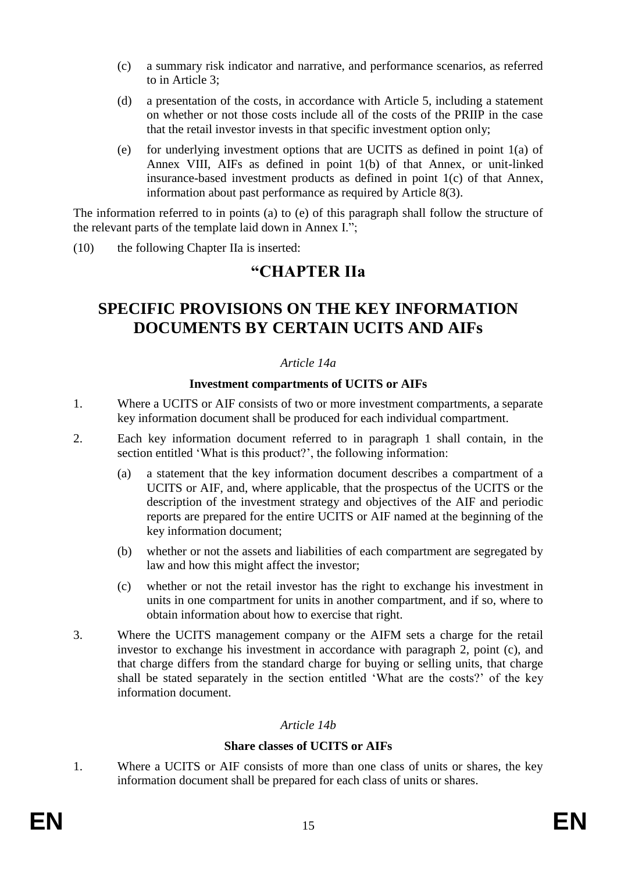- (c) a summary risk indicator and narrative, and performance scenarios, as referred to in Article 3;
- (d) a presentation of the costs, in accordance with Article 5, including a statement on whether or not those costs include all of the costs of the PRIIP in the case that the retail investor invests in that specific investment option only;
- (e) for underlying investment options that are UCITS as defined in point 1(a) of Annex VIII, AIFs as defined in point 1(b) of that Annex, or unit-linked insurance-based investment products as defined in point 1(c) of that Annex, information about past performance as required by Article 8(3).

The information referred to in points (a) to (e) of this paragraph shall follow the structure of the relevant parts of the template laid down in Annex I.";

(10) the following Chapter IIa is inserted:

# **"CHAPTER IIa**

# **SPECIFIC PROVISIONS ON THE KEY INFORMATION DOCUMENTS BY CERTAIN UCITS AND AIFs**

#### *Article 14a*

#### **Investment compartments of UCITS or AIFs**

- 1. Where a UCITS or AIF consists of two or more investment compartments, a separate key information document shall be produced for each individual compartment.
- 2. Each key information document referred to in paragraph 1 shall contain, in the section entitled 'What is this product?', the following information:
	- (a) a statement that the key information document describes a compartment of a UCITS or AIF, and, where applicable, that the prospectus of the UCITS or the description of the investment strategy and objectives of the AIF and periodic reports are prepared for the entire UCITS or AIF named at the beginning of the key information document;
	- (b) whether or not the assets and liabilities of each compartment are segregated by law and how this might affect the investor;
	- (c) whether or not the retail investor has the right to exchange his investment in units in one compartment for units in another compartment, and if so, where to obtain information about how to exercise that right.
- 3. Where the UCITS management company or the AIFM sets a charge for the retail investor to exchange his investment in accordance with paragraph 2, point (c), and that charge differs from the standard charge for buying or selling units, that charge shall be stated separately in the section entitled 'What are the costs?' of the key information document.

## *Article 14b*

## **Share classes of UCITS or AIFs**

1. Where a UCITS or AIF consists of more than one class of units or shares, the key information document shall be prepared for each class of units or shares.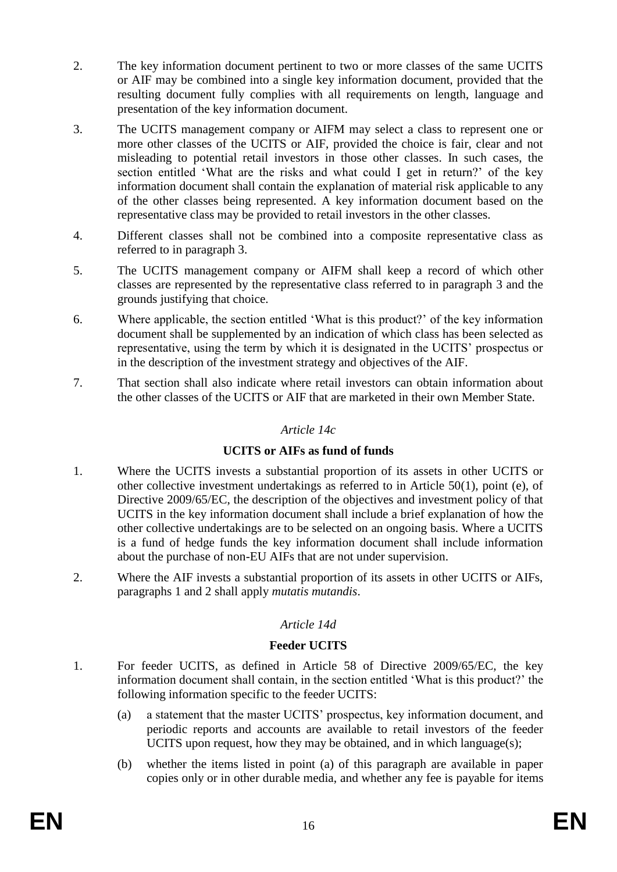- 2. The key information document pertinent to two or more classes of the same UCITS or AIF may be combined into a single key information document, provided that the resulting document fully complies with all requirements on length, language and presentation of the key information document.
- 3. The UCITS management company or AIFM may select a class to represent one or more other classes of the UCITS or AIF, provided the choice is fair, clear and not misleading to potential retail investors in those other classes. In such cases, the section entitled 'What are the risks and what could I get in return?' of the key information document shall contain the explanation of material risk applicable to any of the other classes being represented. A key information document based on the representative class may be provided to retail investors in the other classes.
- 4. Different classes shall not be combined into a composite representative class as referred to in paragraph 3.
- 5. The UCITS management company or AIFM shall keep a record of which other classes are represented by the representative class referred to in paragraph 3 and the grounds justifying that choice.
- 6. Where applicable, the section entitled 'What is this product?' of the key information document shall be supplemented by an indication of which class has been selected as representative, using the term by which it is designated in the UCITS' prospectus or in the description of the investment strategy and objectives of the AIF.
- 7. That section shall also indicate where retail investors can obtain information about the other classes of the UCITS or AIF that are marketed in their own Member State.

#### *Article 14c*

## **UCITS or AIFs as fund of funds**

- 1. Where the UCITS invests a substantial proportion of its assets in other UCITS or other collective investment undertakings as referred to in Article 50(1), point (e), of Directive 2009/65/EC, the description of the objectives and investment policy of that UCITS in the key information document shall include a brief explanation of how the other collective undertakings are to be selected on an ongoing basis. Where a UCITS is a fund of hedge funds the key information document shall include information about the purchase of non-EU AIFs that are not under supervision.
- 2. Where the AIF invests a substantial proportion of its assets in other UCITS or AIFs, paragraphs 1 and 2 shall apply *mutatis mutandis*.

## *Article 14d*

## **Feeder UCITS**

- 1. For feeder UCITS, as defined in Article 58 of Directive 2009/65/EC, the key information document shall contain, in the section entitled 'What is this product?' the following information specific to the feeder UCITS:
	- (a) a statement that the master UCITS' prospectus, key information document, and periodic reports and accounts are available to retail investors of the feeder UCITS upon request, how they may be obtained, and in which language(s);
	- (b) whether the items listed in point (a) of this paragraph are available in paper copies only or in other durable media, and whether any fee is payable for items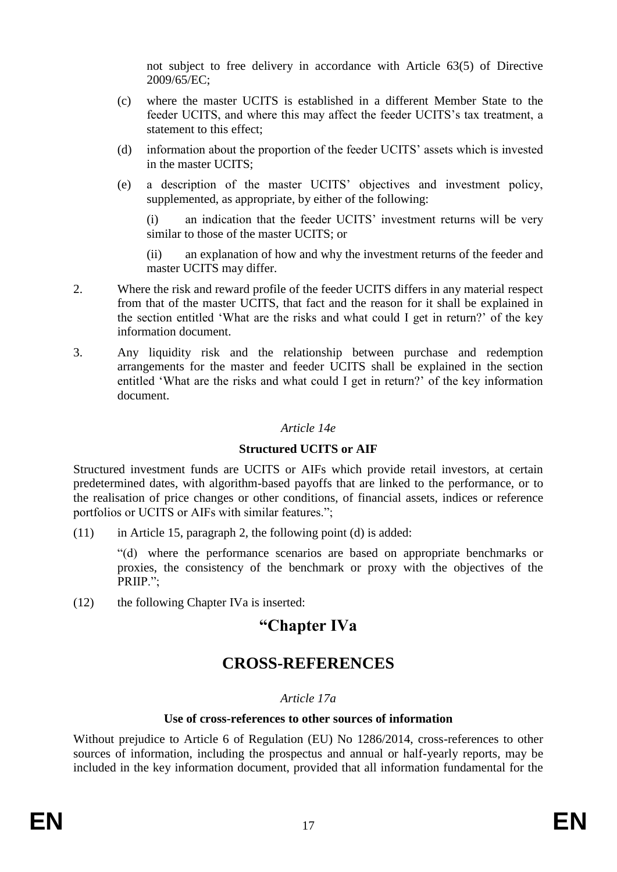not subject to free delivery in accordance with Article 63(5) of Directive 2009/65/EC;

- (c) where the master UCITS is established in a different Member State to the feeder UCITS, and where this may affect the feeder UCITS's tax treatment, a statement to this effect;
- (d) information about the proportion of the feeder UCITS' assets which is invested in the master UCITS;
- (e) a description of the master UCITS' objectives and investment policy, supplemented, as appropriate, by either of the following:

(i) an indication that the feeder UCITS' investment returns will be very similar to those of the master UCITS; or

(ii) an explanation of how and why the investment returns of the feeder and master UCITS may differ.

- 2. Where the risk and reward profile of the feeder UCITS differs in any material respect from that of the master UCITS, that fact and the reason for it shall be explained in the section entitled 'What are the risks and what could I get in return?' of the key information document.
- 3. Any liquidity risk and the relationship between purchase and redemption arrangements for the master and feeder UCITS shall be explained in the section entitled 'What are the risks and what could I get in return?' of the key information document.

#### *Article 14e*

#### **Structured UCITS or AIF**

Structured investment funds are UCITS or AIFs which provide retail investors, at certain predetermined dates, with algorithm-based payoffs that are linked to the performance, or to the realisation of price changes or other conditions, of financial assets, indices or reference portfolios or UCITS or AIFs with similar features.";

(11) in Article 15, paragraph 2, the following point (d) is added:

"(d) where the performance scenarios are based on appropriate benchmarks or proxies, the consistency of the benchmark or proxy with the objectives of the PRIIP.";

(12) the following Chapter IVa is inserted:

# **"Chapter IVa**

# **CROSS-REFERENCES**

## *Article 17a*

#### **Use of cross-references to other sources of information**

Without prejudice to Article 6 of Regulation (EU) No 1286/2014, cross-references to other sources of information, including the prospectus and annual or half-yearly reports, may be included in the key information document, provided that all information fundamental for the